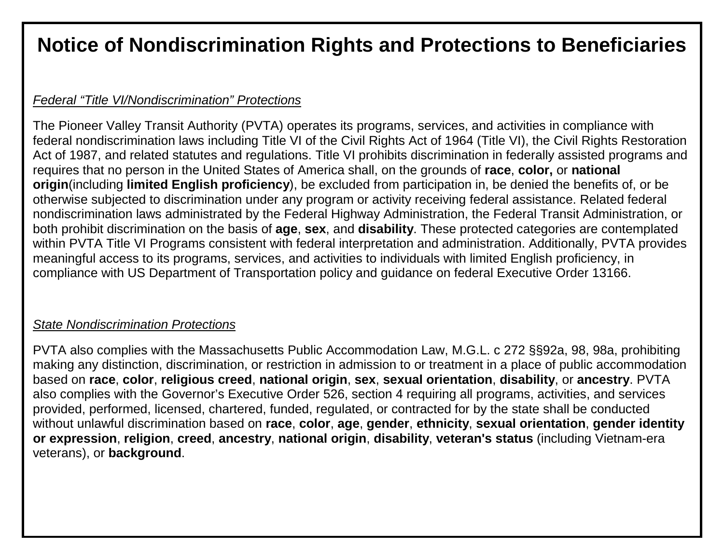# **Notice of Nondiscrimination Rights and Protections to Beneficiaries**

## *Federal "Title VI/Nondiscrimination" Protections*

The Pioneer Valley Transit Authority (PVTA) operates its programs, services, and activities in compliance with federal nondiscrimination laws including Title VI of the Civil Rights Act of 1964 (Title VI), the Civil Rights Restoration Act of 1987, and related statutes and regulations. Title VI prohibits discrimination in federally assisted programs and requires that no person in the United States of America shall, on the grounds of **race**, **color,** or **national origin**(including **limited English proficiency**), be excluded from participation in, be denied the benefits of, or be otherwise subjected to discrimination under any program or activity receiving federal assistance. Related federal nondiscrimination laws administrated by the Federal Highway Administration, the Federal Transit Administration, or both prohibit discrimination on the basis of **age**, **sex**, and **disability**. These protected categories are contemplated within PVTA Title VI Programs consistent with federal interpretation and administration. Additionally, PVTA provides meaningful access to its programs, services, and activities to individuals with limited English proficiency, in compliance with US Department of Transportation policy and guidance on federal Executive Order 13166.

### *State Nondiscrimination Protections*

PVTA also complies with the Massachusetts Public Accommodation Law, M.G.L. c 272 §§92a, 98, 98a, prohibiting making any distinction, discrimination, or restriction in admission to or treatment in a place of public accommodation based on **race**, **color**, **religious creed**, **national origin**, **sex**, **sexual orientation**, **disability**, or **ancestry**. PVTA also complies with the Governor's Executive Order 526, section 4 requiring all programs, activities, and services provided, performed, licensed, chartered, funded, regulated, or contracted for by the state shall be conducted without unlawful discrimination based on **race**, **color**, **age**, **gender**, **ethnicity**, **sexual orientation**, **gender identity or expression**, **religion**, **creed**, **ancestry**, **national origin**, **disability**, **veteran's status** (including Vietnam-era veterans), or **background**.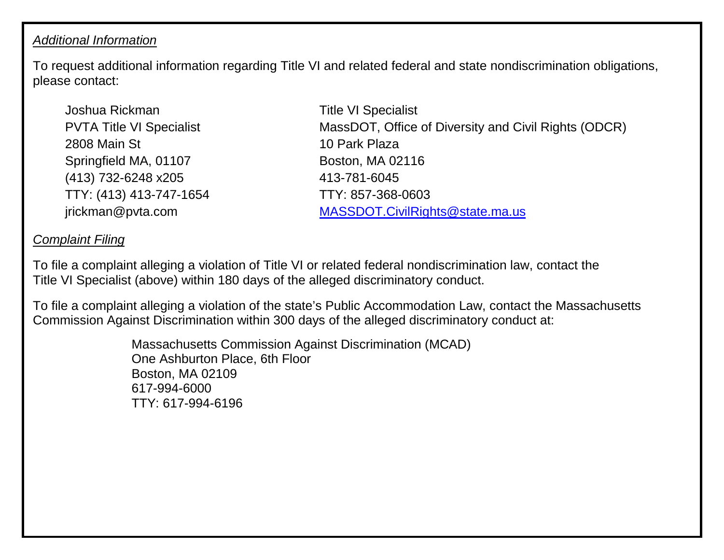### *Additional Information*

To request additional information regarding Title VI and related federal and state nondiscrimination obligations, please contact:

Joshua Rickman PVTA Title VI Specialist 2808 Main St Springfield MA, 01107 (413) 732-6248 x205 TTY: (413) 413-747-1654 jrickman@pvta.com

Title VI Specialist MassDOT, Office of Diversity and Civil Rights (ODCR) 10 Park Plaza Boston, MA 02116 413-781-6045 TTY: 857-368-0603 [MASSDOT.CivilRights@state.ma.us](mailto:MASSDOT.CivilRights@state.ma.us)

## *Complaint Filing*

To file a complaint alleging a violation of Title VI or related federal nondiscrimination law, contact the Title VI Specialist (above) within 180 days of the alleged discriminatory conduct.

To file a complaint alleging a violation of the state's Public Accommodation Law, contact the Massachusetts Commission Against Discrimination within 300 days of the alleged discriminatory conduct at:

> Massachusetts Commission Against Discrimination (MCAD) One Ashburton Place, 6th Floor Boston, MA 02109 617-994-6000 TTY: 617-994-6196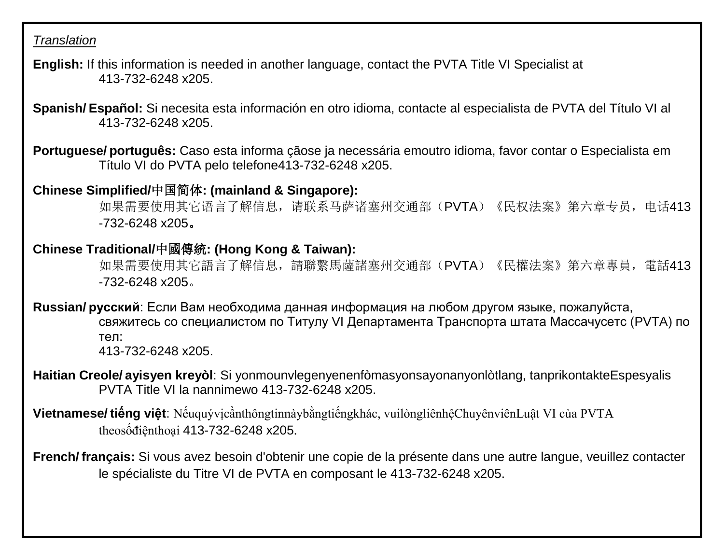#### *Translation*

- **English:** If this information is needed in another language, contact the PVTA Title VI Specialist at 413-732-6248 x205.
- **Spanish/ Español:** Si necesita esta información en otro idioma, contacte al especialista de PVTA del Título VI al 413-732-6248 x205.
- **Portuguese/ português:** Caso esta informa çãose ja necessária emoutro idioma, favor contar o Especialista em Título VI do PVTA pelo telefone413-732-6248 x205.

# **Chinese Simplified/**中国简体**: (mainland & Singapore):**

如果需要使用其它语言了解信息,请联系马萨诸塞州交通部(PVTA)《民权法案》第六章专员,电话413 -732-6248 x205。

## **Chinese Traditional/**中國傳統**: (Hong Kong & Taiwan):**

如果需要使用其它語言了解信息,請聯繫馬薩諸塞州交通部(PVTA)《民權法案》第六章專員,電話413 -732-6248 x205。

**Russian/ русский**: Если Вам необходима данная информация на любом другом языке, пожалуйста, свяжитесь со cпециалистом по Титулу VI Департамента Транспорта штата Массачусетс (PVTA) по тел: 413-732-6248 x205.

- **Haitian Creole/ ayisyen kreyòl**: Si yonmounvlegenyenenfòmasyonsayonanyonlòtlang, tanprikontakteEspesyalis PVTA Title VI la nannimewo 413-732-6248 x205.
- **Vietnamese/ tiếng việt**: Nếuquývịcầnthôngtinnàybằngtiếngkhác, vuilòngliênhệChuyênviênLuật VI của PVTA theosốđiệnthoại 413-732-6248 x205.
- **French/ français:** Si vous avez besoin d'obtenir une copie de la présente dans une autre langue, veuillez contacter le spécialiste du Titre VI de PVTA en composant le 413-732-6248 x205.